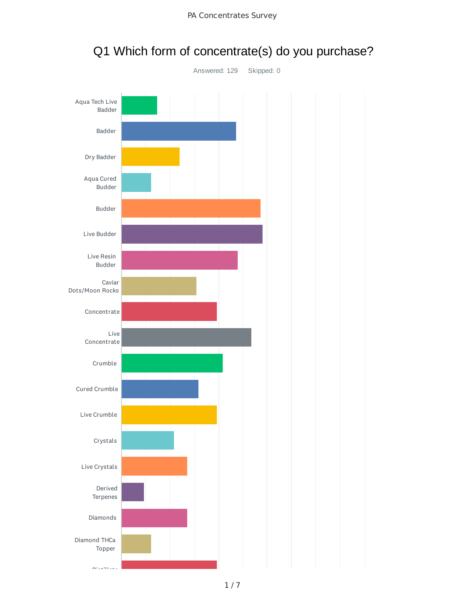

## Q1 Which form of concentrate(s) do you purchase?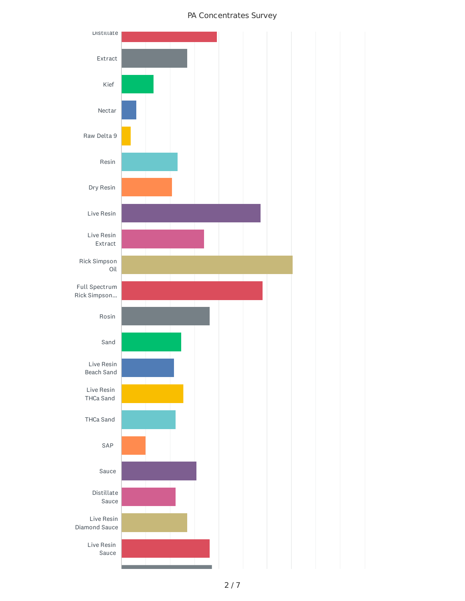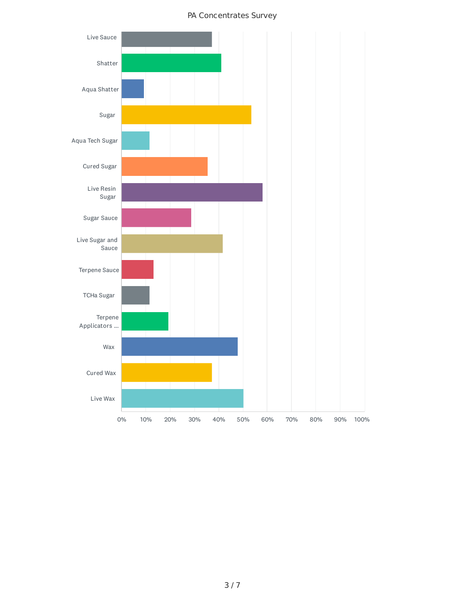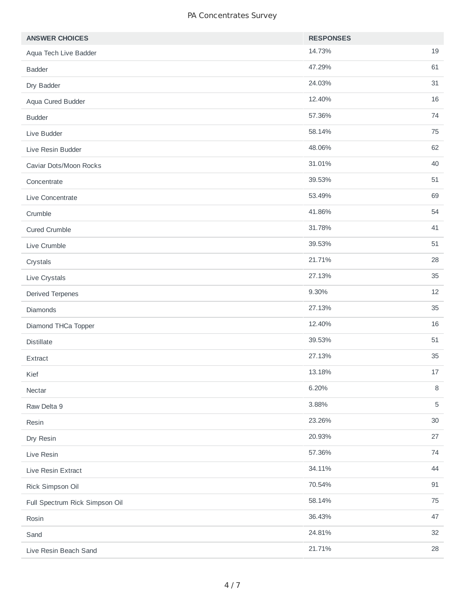| <b>ANSWER CHOICES</b>          | <b>RESPONSES</b> |            |
|--------------------------------|------------------|------------|
| Aqua Tech Live Badder          | 14.73%           | 19         |
| <b>Badder</b>                  | 47.29%           | 61         |
| Dry Badder                     | 24.03%           | 31         |
| Aqua Cured Budder              | 12.40%           | 16         |
| <b>Budder</b>                  | 57.36%           | 74         |
| Live Budder                    | 58.14%           | 75         |
| Live Resin Budder              | 48.06%           | 62         |
| Caviar Dots/Moon Rocks         | 31.01%           | 40         |
| Concentrate                    | 39.53%           | 51         |
| Live Concentrate               | 53.49%           | 69         |
| Crumble                        | 41.86%           | 54         |
| <b>Cured Crumble</b>           | 31.78%           | 41         |
| Live Crumble                   | 39.53%           | 51         |
| Crystals                       | 21.71%           | 28         |
| Live Crystals                  | 27.13%           | 35         |
| Derived Terpenes               | 9.30%            | 12         |
| Diamonds                       | 27.13%           | 35         |
| Diamond THCa Topper            | 12.40%           | 16         |
| <b>Distillate</b>              | 39.53%           | 51         |
| Extract                        | 27.13%           | 35         |
| Kief                           | 13.18%           | $17\,$     |
| Nectar                         | 6.20%            | $\, 8$     |
| Raw Delta 9                    | 3.88%            | $\sqrt{5}$ |
| Resin                          | 23.26%           | $30\,$     |
| Dry Resin                      | 20.93%           | 27         |
| Live Resin                     | 57.36%           | 74         |
| Live Resin Extract             | 34.11%           | 44         |
| Rick Simpson Oil               | 70.54%           | $91\,$     |
| Full Spectrum Rick Simpson Oil | 58.14%           | 75         |
| Rosin                          | 36.43%           | 47         |
| Sand                           | 24.81%           | 32         |
| Live Resin Beach Sand          | 21.71%           | 28         |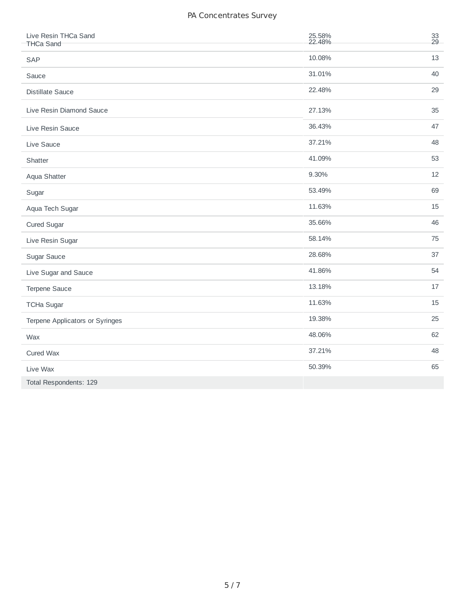| Live Resin THCa Sand            | 25.58% | 33<br>29 |
|---------------------------------|--------|----------|
| <b>THCa Sand</b>                | 22.48% |          |
| SAP                             | 10.08% | 13       |
| Sauce                           | 31.01% | 40       |
| <b>Distillate Sauce</b>         | 22.48% | 29       |
| Live Resin Diamond Sauce        | 27.13% | 35       |
| Live Resin Sauce                | 36.43% | 47       |
| Live Sauce                      | 37.21% | 48       |
| Shatter                         | 41.09% | 53       |
| Aqua Shatter                    | 9.30%  | 12       |
| Sugar                           | 53.49% | 69       |
| Aqua Tech Sugar                 | 11.63% | 15       |
| Cured Sugar                     | 35.66% | 46       |
| Live Resin Sugar                | 58.14% | 75       |
| Sugar Sauce                     | 28.68% | 37       |
| Live Sugar and Sauce            | 41.86% | 54       |
| Terpene Sauce                   | 13.18% | 17       |
| <b>TCHa Sugar</b>               | 11.63% | 15       |
| Terpene Applicators or Syringes | 19.38% | 25       |
| Wax                             | 48.06% | 62       |
| Cured Wax                       | 37.21% | 48       |
| Live Wax                        | 50.39% | 65       |
| Total Respondents: 129          |        |          |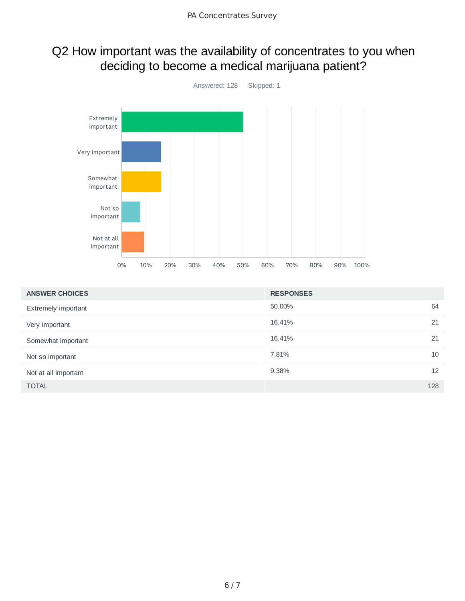### Q2 How important was the availability of concentrates to you when deciding to become a medical marijuana patient?



| <b>ANSWER CHOICES</b> | <b>RESPONSES</b> |     |
|-----------------------|------------------|-----|
| Extremely important   | 50.00%           | 64  |
| Very important        | 16.41%           | 21  |
| Somewhat important    | 16.41%           | 21  |
| Not so important      | 7.81%            | 10  |
| Not at all important  | 9.38%            | 12  |
| <b>TOTAL</b>          |                  | 128 |